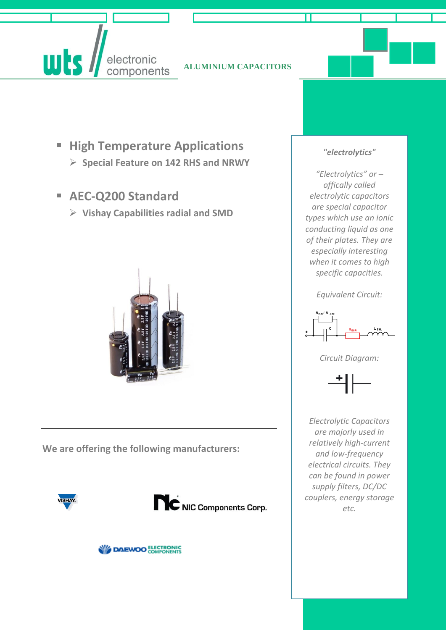**ALUMINIUM CAPACITORS**

- **High Temperature Applications Special Feature on 142 RHS and NRWY**
- **AEC-Q200 Standard**

electronic components

**uts** 

**Vishay Capabilities radial and SMD**



**We are offering the following manufacturers:**







#### *"electrolytics"*

*"Electrolytics" or – offically called electrolytic capacitors are special capacitor types which use an ionic conducting liquid as one of their plates. They are especially interesting when it comes to high specific capacities.*

*Equivalent Circuit:*



*Circuit Diagram:*



*Electrolytic Capacitors are majorly used in relatively high-current and low-frequency electrical circuits. They can be found in power supply filters, DC/DC couplers, energy storage etc.*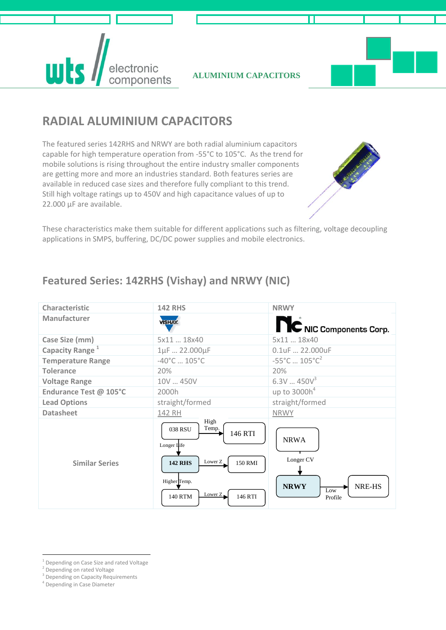**wts** electronic components

**ALUMINIUM CAPACITORS**



## **RADIAL ALUMINIUM CAPACITORS**

The featured series 142RHS and NRWY are both radial aluminium capacitors capable for high temperature operation from -55°C to 105°C. As the trend for mobile solutions is rising throughout the entire industry smaller components are getting more and more an industries standard. Both features series are available in reduced case sizes and therefore fully compliant to this trend. Still high voltage ratings up to 450V and high capacitance values of up to 22.000 µF are available.



These characteristics make them suitable for different applications such as filtering, voltage decoupling applications in SMPS, buffering, DC/DC power supplies and mobile electronics.

### **Featured Series: 142RHS (Vishay) and NRWY (NIC)**

| Characteristic              | <b>142 RHS</b>                                                                                             | <b>NRWY</b>                                              |
|-----------------------------|------------------------------------------------------------------------------------------------------------|----------------------------------------------------------|
| Manufacturer                | <b>VISHAY.</b>                                                                                             | NC NIC Components Corp.                                  |
| Case Size (mm)              | 5x11  18x40                                                                                                | 5x11  18x40                                              |
| Capacity Range <sup>1</sup> | 1µF  22.000µF                                                                                              | 0.1uF  22.000uF                                          |
| <b>Temperature Range</b>    | $-40^{\circ}$ C $105^{\circ}$ C                                                                            | $-55^{\circ}$ C $105^{\circ}$ C <sup>2</sup>             |
| <b>Tolerance</b>            | 20%                                                                                                        | 20%                                                      |
| <b>Voltage Range</b>        | 10V  450V                                                                                                  | 6.3V450V <sup>3</sup>                                    |
| Endurance Test @ 105°C      | 2000h                                                                                                      | up to $3000h^4$                                          |
| <b>Lead Options</b>         | straight/formed                                                                                            | straight/formed                                          |
| <b>Datasheet</b>            | 142 RH                                                                                                     | <b>NRWY</b>                                              |
| <b>Similar Series</b>       | High<br>Temp.<br>038 RSU<br>146 RTI<br>Longer Life<br>Lower Z<br>150 RMI<br><b>142 RHS</b><br>Higher Temp. | <b>NRWA</b><br>Longer CV<br>NRE-HS<br><b>NRWY</b><br>Low |
|                             | Lower $Z_{\bullet}$<br>146 RTI<br><b>140 RTM</b>                                                           | Profile                                                  |

<sup>&</sup>lt;u>.</u> <sup>1</sup> Depending on Case Size and rated Voltage

<sup>&</sup>lt;sup>2</sup> Depending on rated Voltage

<sup>&</sup>lt;sup>3</sup> Depending on Capacity Requirements

<sup>4</sup> Depending in Case Diameter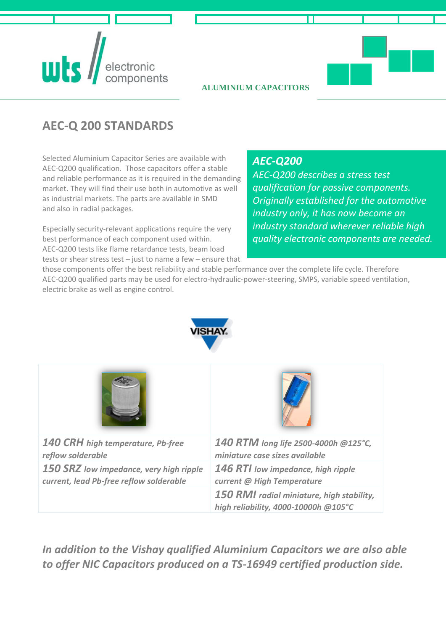# **uls**

#### **ALUMINIUM CAPACITORS**

## **AEC-Q 200 STANDARDS**

Selected Aluminium Capacitor Series are available with AEC-Q200 qualification. Those capacitors offer a stable and reliable performance as it is required in the demanding market. They will find their use both in automotive as well as industrial markets. The parts are available in SMD and also in radial packages.

Especially security-relevant applications require the very best performance of each component used within. AEC-Q200 tests like flame retardance tests, beam load tests or shear stress test – just to name a few – ensure that

#### *AEC-Q200*

*AEC-Q200 describes a stress test qualification for passive components. Originally established for the automotive industry only, it has now become an industry standard wherever reliable high quality electronic components are needed.* 

those components offer the best reliability and stable performance over the complete life cycle. Therefore AEC-Q200 qualified parts may be used for electro-hydraulic-power-steering, SMPS, variable speed ventilation, electric brake as well as engine control.



| <b>140 CRH</b> high temperature, Pb-free | 140 RTM long life 2500-4000h @125°C,                                              |
|------------------------------------------|-----------------------------------------------------------------------------------|
| reflow solderable                        | miniature case sizes available                                                    |
| 150 SRZ low impedance, very high ripple  | <b>146 RTI</b> low impedance, high ripple                                         |
| current, lead Pb-free reflow solderable  | current @ High Temperature                                                        |
|                                          | 150 RMI radial miniature, high stability,<br>high reliability, 4000-10000h @105°C |

*In addition to the Vishay qualified Aluminium Capacitors we are also able to offer NIC Capacitors produced on a TS-16949 certified production side.*